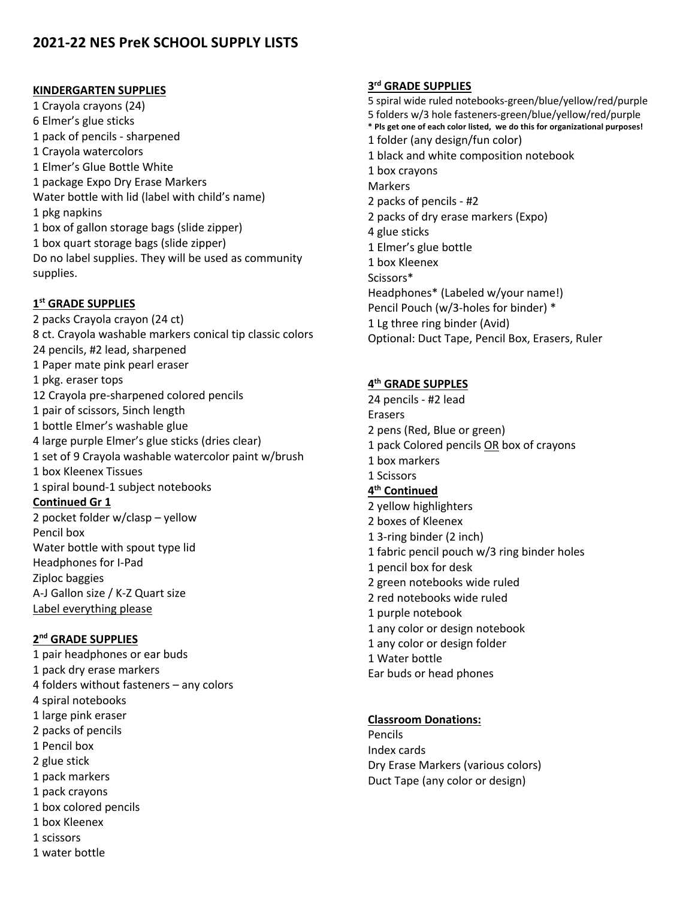# **2021-22 NES PreK SCHOOL SUPPLY LISTS**

#### **KINDERGARTEN SUPPLIES**

1 Crayola crayons (24) 6 Elmer's glue sticks 1 pack of pencils - sharpened 1 Crayola watercolors 1 Elmer's Glue Bottle White 1 package Expo Dry Erase Markers Water bottle with lid (label with child's name) 1 pkg napkins 1 box of gallon storage bags (slide zipper) 1 box quart storage bags (slide zipper) Do no label supplies. They will be used as community supplies.

### **1st GRADE SUPPLIES**

2 packs Crayola crayon (24 ct) 8 ct. Crayola washable markers conical tip classic colors 24 pencils, #2 lead, sharpened 1 Paper mate pink pearl eraser 1 pkg. eraser tops 12 Crayola pre-sharpened colored pencils 1 pair of scissors, 5inch length 1 bottle Elmer's washable glue 4 large purple Elmer's glue sticks (dries clear) 1 set of 9 Crayola washable watercolor paint w/brush 1 box Kleenex Tissues 1 spiral bound-1 subject notebooks **Continued Gr 1**  2 pocket folder w/clasp – yellow Pencil box Water bottle with spout type lid Headphones for I-Pad Ziploc baggies A-J Gallon size / K-Z Quart size Label everything please

## **2nd GRADE SUPPLIES**

1 pair headphones or ear buds 1 pack dry erase markers 4 folders without fasteners – any colors 4 spiral notebooks 1 large pink eraser 2 packs of pencils 1 Pencil box 2 glue stick 1 pack markers 1 pack crayons 1 box colored pencils 1 box Kleenex 1 scissors 1 water bottle

#### **3rd GRADE SUPPLIES**

5 spiral wide ruled notebooks-green/blue/yellow/red/purple 5 folders w/3 hole fasteners-green/blue/yellow/red/purple **\* Pls get one of each color listed, we do this for organizational purposes!** 1 folder (any design/fun color) 1 black and white composition notebook 1 box crayons Markers 2 packs of pencils - #2 2 packs of dry erase markers (Expo) 4 glue sticks 1 Elmer's glue bottle 1 box Kleenex Scissors\* Headphones\* (Labeled w/your name!) Pencil Pouch (w/3-holes for binder) \* 1 Lg three ring binder (Avid) Optional: Duct Tape, Pencil Box, Erasers, Ruler

### **4th GRADE SUPPLES**

24 pencils - #2 lead Erasers 2 pens (Red, Blue or green) 1 pack Colored pencils OR box of crayons 1 box markers 1 Scissors **4th Continued** 2 yellow highlighters 2 boxes of Kleenex 1 3-ring binder (2 inch) 1 fabric pencil pouch w/3 ring binder holes 1 pencil box for desk 2 green notebooks wide ruled 2 red notebooks wide ruled 1 purple notebook 1 any color or design notebook 1 any color or design folder 1 Water bottle Ear buds or head phones

#### **Classroom Donations:**

Pencils Index cards Dry Erase Markers (various colors) Duct Tape (any color or design)